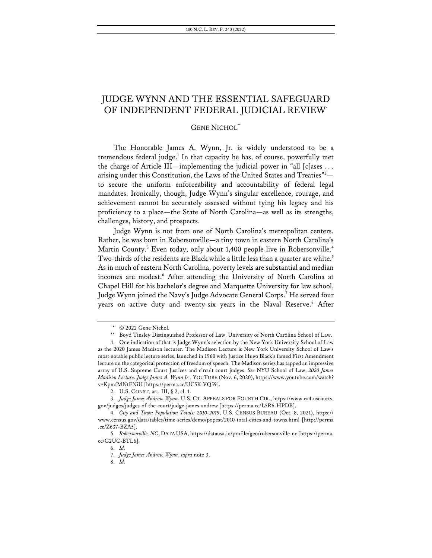# JUDGE WYNN AND THE ESSENTIAL SAFEGUARD OF INDEPENDENT FEDERAL JUDICIAL REVIEW\*

## **GENE NICHOL\***

The Honorable James A. Wynn, Jr. is widely understood to be a tremendous federal judge.<sup>1</sup> In that capacity he has, of course, powerfully met the charge of Article III—implementing the judicial power in "all [c]ases . . . arising under this Constitution, the Laws of the United States and Treaties"<sup>2</sup> to secure the uniform enforceability and accountability of federal legal mandates. Ironically, though, Judge Wynn's singular excellence, courage, and achievement cannot be accurately assessed without tying his legacy and his proficiency to a place—the State of North Carolina—as well as its strengths, challenges, history, and prospects.

Judge Wynn is not from one of North Carolina's metropolitan centers. Rather, he was born in Robersonville—a tiny town in eastern North Carolina's Martin County.<sup>3</sup> Even today, only about 1,400 people live in Robersonville.<sup>4</sup> Two-thirds of the residents are Black while a little less than a quarter are white. 5 As in much of eastern North Carolina, poverty levels are substantial and median incomes are modest.6 After attending the University of North Carolina at Chapel Hill for his bachelor's degree and Marquette University for law school, Judge Wynn joined the Navy's Judge Advocate General Corps.7 He served four years on active duty and twenty-six years in the Naval Reserve.<sup>8</sup> After

<sup>\*</sup> © 2022 Gene Nichol.

<sup>\*\*</sup> Boyd Tinsley Distinguished Professor of Law, University of North Carolina School of Law.

<sup>1.</sup> One indication of that is Judge Wynn's selection by the New York University School of Law as the 2020 James Madison lecturer. The Madison Lecture is New York University School of Law's most notable public lecture series, launched in 1960 with Justice Hugo Black's famed First Amendment lecture on the categorical protection of freedom of speech. The Madison series has tapped an impressive array of U.S. Supreme Court Justices and circuit court judges. *See* NYU School of Law, *2020 James Madison Lecture: Judge James A. Wynn Jr.*, YOUTUBE (Nov. 6, 2020), https://www.youtube.com/watch? v=KpmfMNtFNiU [https://perma.cc/UC5K-VQ59].

<sup>2.</sup> U.S. CONST. art. III, § 2, cl. 1.

<sup>3.</sup> *Judge James Andrew Wynn*, U.S. CT. APPEALS FOR FOURTH CIR., https://www.ca4.uscourts. gov/judges/judges-of-the-court/judge-james-andrew [https://perma.cc/L5R6-HPDB].

<sup>4.</sup> *City and Town Population Totals: 2010-2019*, U.S. CENSUS BUREAU (Oct. 8, 2021), https:// www.census.gov/data/tables/time-series/demo/popest/2010-total-cities-and-towns.html [http://perma .cc/Z637-BZA5].

<sup>5.</sup> *Robersonville, NC*, DATA USA, https://datausa.io/profile/geo/robersonville-nc [https://perma. cc/G2UC-BTL6].

<sup>6.</sup> *Id.* 

<sup>7.</sup> *Judge James Andrew Wynn*, *supra* note 3.

<sup>8.</sup> *Id.*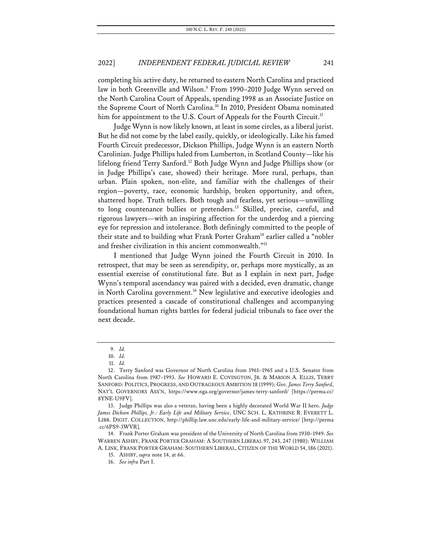completing his active duty, he returned to eastern North Carolina and practiced law in both Greenville and Wilson.<sup>9</sup> From 1990–2010 Judge Wynn served on the North Carolina Court of Appeals, spending 1998 as an Associate Justice on the Supreme Court of North Carolina.<sup>10</sup> In 2010, President Obama nominated him for appointment to the U.S. Court of Appeals for the Fourth Circuit.<sup>11</sup>

Judge Wynn is now likely known, at least in some circles, as a liberal jurist. But he did not come by the label easily, quickly, or ideologically. Like his famed Fourth Circuit predecessor, Dickson Phillips, Judge Wynn is an eastern North Carolinian. Judge Phillips haled from Lumberton, in Scotland County—like his lifelong friend Terry Sanford.<sup>12</sup> Both Judge Wynn and Judge Phillips show (or in Judge Phillips's case, showed) their heritage. More rural, perhaps, than urban. Plain spoken, non-elite, and familiar with the challenges of their region—poverty, race, economic hardship, broken opportunity, and often, shattered hope. Truth tellers. Both tough and fearless, yet serious—unwilling to long countenance bullies or pretenders. <sup>13</sup> Skilled, precise, careful, and rigorous lawyers—with an inspiring affection for the underdog and a piercing eye for repression and intolerance. Both definingly committed to the people of their state and to building what Frank Porter Graham<sup>14</sup> earlier called a "nobler and fresher civilization in this ancient commonwealth."15

I mentioned that Judge Wynn joined the Fourth Circuit in 2010. In retrospect, that may be seen as serendipity, or, perhaps more mystically, as an essential exercise of constitutional fate. But as I explain in next part, Judge Wynn's temporal ascendancy was paired with a decided, even dramatic, change in North Carolina government.<sup>16</sup> New legislative and executive ideologies and practices presented a cascade of constitutional challenges and accompanying foundational human rights battles for federal judicial tribunals to face over the next decade.

<sup>9.</sup> *Id.*

<sup>10.</sup> *Id.*

<sup>11.</sup> *Id.*

<sup>12.</sup> Terry Sanford was Governor of North Carolina from 1961–1965 and a U.S. Senator from North Carolina from 1987–1993. *See* HOWARD E. COVINGTON, JR. & MARION A. ELLIS, TERRY SANFORD: POLITICS, PROGRESS, AND OUTRAGEOUS AMBITION 18 (1999); *Gov. James Terry Sanford*, NAT'L GOVERNORS ASS'N, https://www.nga.org/governor/james-terry-sanford/ [https://perma.cc/ 8YNE-U9FV].

<sup>13.</sup> Judge Phillips was also a veteran, having been a highly decorated World War II hero. *Judge James Dickson Phillips, Jr.: Early Life and Military Service*, UNC SCH. L. KATHRINE R. EVERETT L. LIBR. DIGIT. COLLECTION, http://phillip.law.unc.edu/early-life-and-military-service/ [http://perma .cc/6PS9-3WVR].

<sup>14.</sup> Frank Porter Graham was president of the University of North Carolina from 1930–1949. *See* WARREN ASHBY, FRANK PORTER GRAHAM: A SOUTHERN LIBERAL 97, 243, 247 (1980); WILLIAM A. LINK, FRANK PORTER GRAHAM: SOUTHERN LIBERAL, CITIZEN OF THE WORLD 54, 186 (2021).

<sup>15.</sup> ASHBY, *supra* note 14, at 66.

<sup>16.</sup> *See infra* Part I.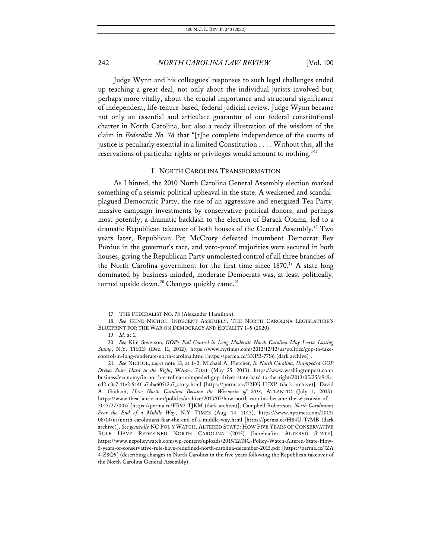Judge Wynn and his colleagues' responses to such legal challenges ended up teaching a great deal, not only about the individual jurists involved but, perhaps more vitally, about the crucial importance and structural significance of independent, life-tenure-based, federal judicial review. Judge Wynn became not only an essential and articulate guarantor of our federal constitutional charter in North Carolina, but also a ready illustration of the wisdom of the claim in *Federalist No. 78* that "[t]he complete independence of the courts of justice is peculiarly essential in a limited Constitution . . . . Without this, all the reservations of particular rights or privileges would amount to nothing."<sup>17</sup>

### I. NORTH CAROLINA TRANSFORMATION

As I hinted, the 2010 North Carolina General Assembly election marked something of a seismic political upheaval in the state. A weakened and scandalplagued Democratic Party, the rise of an aggressive and energized Tea Party, massive campaign investments by conservative political donors, and perhaps most potently, a dramatic backlash to the election of Barack Obama, led to a dramatic Republican takeover of both houses of the General Assembly.18 Two years later, Republican Pat McCrory defeated incumbent Democrat Bev Purdue in the governor's race, and veto-proof majorities were secured in both houses, giving the Republican Party unmolested control of all three branches of the North Carolina government for the first time since 1870.<sup>19</sup> A state long dominated by business-minded, moderate Democrats was, at least politically, turned upside down.<sup>20</sup> Changes quickly came.<sup>21</sup>

<sup>17.</sup> THE FEDERALIST NO. 78 (Alexander Hamilton).

<sup>18.</sup> *See* GENE NICHOL, INDECENT ASSEMBLY: THE NORTH CAROLINA LEGISLATURE'S BLUEPRINT FOR THE WAR ON DEMOCRACY AND EQUALITY 1–5 (2020).

<sup>19.</sup> *Id.* at 1.

<sup>20.</sup> *See* Kim Severson, *GOP's Full Control in Long Moderate North Carolina May Leave Lasting Stamp*, N.Y. TIMES (Dec. 11, 2012), https://www.nytimes.com/2012/12/12/us/politics/gop-to-takecontrol-in-long-moderate-north-carolina.html [https://perma.cc/3NPB-77S6 (dark archive)].

<sup>21.</sup> *See* NICHOL, *supra* note 18, at 1–2; Michael A. Fletcher, *In North Carolina, Unimpeded GOP Drives State Hard to the Right*, WASH. POST (May 25, 2013), https://www.washingtonpost.com/ business/economy/in-north-carolina-unimpeded-gop-drives-state-hard-to-the-right/2013/05/25/a9c9c cd2-c3c7-11e2-914f-a7aba60512a7\_story.html [https://perma.cc/F2FG-H5XP (dark archive)]; David A. Graham, *How North Carolina Became the Wisconsin of 2013*, ATLANTIC (July 1, 2013), https://www.theatlantic.com/politics/archive/2013/07/how-north-carolina-became-the-wisconsin-of-2013/277007/ [https://perma.cc/FR92-TJKM (dark archive)]; Campbell Robertson, *North Carolinians Fear the End of a Middle Way*, N.Y. TIMES (Aug. 14, 2013), https://www.nytimes.com/2013/ 08/14/us/north-carolinians-fear-the-end-of-a-middle-way.html [https://perma.cc/H84U-T7MB (dark archive)]. *See generally* NC POL'Y WATCH, ALTERED STATE: HOW FIVE YEARS OF CONSERVATIVE RULE HAVE REDEFINED NORTH CAROLINA (2015) [hereinafter ALTERED STATE], https://www.ncpolicywatch.com/wp-content/uploads/2015/12/NC-Policy-Watch-Altered-State-How-5-years-of-conservative-rule-have-redefined-north-carolina-december-2015.pdf [https://perma.cc/JZA 4-Z8Q9] (describing changes in North Carolina in the five years following the Republican takeover of the North Carolina General Assembly).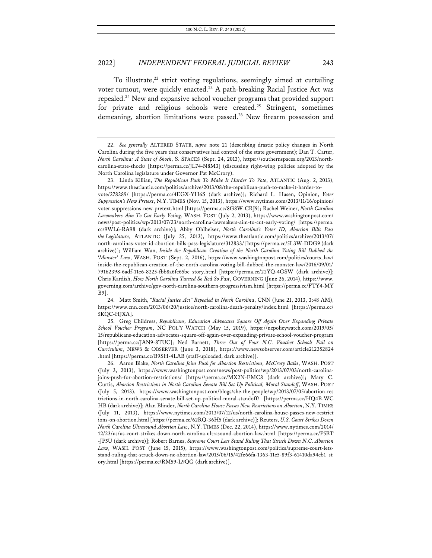To illustrate, $22$  strict voting regulations, seemingly aimed at curtailing voter turnout, were quickly enacted.<sup>23</sup> A path-breaking Racial Justice Act was repealed.24 New and expansive school voucher programs that provided support for private and religious schools were created.<sup>25</sup> Stringent, sometimes demeaning, abortion limitations were passed.<sup>26</sup> New firearm possession and

<sup>22.</sup> *See generally* ALTERED STATE, *supra* note 21 (describing drastic policy changes in North Carolina during the five years that conservatives had control of the state government); Dan T. Carter, *North Carolina: A State of Shock*, S. SPACES (Sept. 24, 2013), https://southernspaces.org/2013/northcarolina-state-shock/ [https://perma.cc/JL74-N8M3] (discussing right-wing policies adopted by the North Carolina legislature under Governor Pat McCrory).

<sup>23.</sup> Linda Killian, *The Republican Push To Make It Harder To Vote*, ATLANTIC (Aug. 2, 2013), https://www.theatlantic.com/politics/archive/2013/08/the-republican-push-to-make-it-harder-tovote/278289/ [https://perma.cc/4EGX-YH6S (dark archive)]; Richard L. Hasen, Opinion, *Voter Suppression's New Pretext*, N.Y. TIMES (Nov. 15, 2013), https://www.nytimes.com/2013/11/16/opinion/ voter-suppressions-new-pretext.html [https://perma.cc/8G8W-CRJ9]; Rachel Weiner, *North Carolina Lawmakers Aim To Cut Early Voting*, WASH. POST (July 2, 2013), https://www.washingtonpost.com/ news/post-politics/wp/2013/07/23/north-carolina-lawmakers-aim-to-cut-early-voting/ [https://perma. cc/9WL6-RA98 (dark archive)]; Abby Ohlheiser, *North Carolina's Voter ID, Abortion Bills Pass the Legislature*, ATLANTIC (July 25, 2013), https://www.theatlantic.com/politics/archive/2013/07/ north-carolinas-voter-id-abortion-bills-pass-legislature/312833/ [https://perma.cc/5L3W-DDG9 (dark archive)]; William Wan, *Inside the Republican Creation of the North Carolina Voting Bill Dubbed the 'Monster' Law*, WASH. POST (Sept. 2, 2016), https://www.washingtonpost.com/politics/courts\_law/ inside-the-republican-creation-of-the-north-carolina-voting-bill-dubbed-the-monster-law/2016/09/01/ 79162398-6adf-11e6-8225-fbb8a6fc65bc\_story.html [https://perma.cc/22YQ-4GSW (dark archive)]; Chris Kardish, *How North Carolina Turned So Red So Fast*, GOVERNING (June 26, 2014), https://www. governing.com/archive/gov-north-carolina-southern-progressivism.html [https://perma.cc/FTY4-MY B9].

<sup>24.</sup> Matt Smith, *"Racial Justice Act" Repealed in North Carolina*, CNN (June 21, 2013, 3:48 AM), https://www.cnn.com/2013/06/20/justice/north-carolina-death-penalty/index.html [https://perma.cc/ 5KQC-HJXA].

<sup>25.</sup> Greg Childress, *Republicans, Education Advocates Square Off Again Over Expanding Private School Voucher Program*, NC POL'Y WATCH (May 15, 2019), https://ncpolicywatch.com/2019/05/ 15/republicans-education-advocates-square-off-again-over-expanding-private-school-voucher-program [https://perma.cc/JAN9-8TUC]; Ned Barnett, *Three Out of Four N.C. Voucher Schools Fail on Curriculum*, NEWS & OBSERVER (June 3, 2018), https://www.newsobserver.com/article212352824 .html [https://perma.cc/B9SH-4LAB (staff-uploaded, dark archive)].

<sup>26.</sup> Aaron Blake, *North Carolina Joins Push for Abortion Restrictions, McCrory Balks*, WASH. POST (July 3, 2013), https://www.washingtonpost.com/news/post-politics/wp/2013/07/03/north-carolinajoins-push-for-abortion-restrictions/ [https://perma.cc/MX2N-EMC8 (dark archive)]; Mary C. Curtis, *Abortion Restrictions in North Carolina Senate Bill Set Up Political, Moral Standoff*, WASH. POST (July 5, 2013), https://www.washingtonpost.com/blogs/she-the-people/wp/2013/07/05/abortion-res trictions-in-north-carolina-senate-bill-set-up-political-moral-standoff/ [https://perma.cc/HQ4B-WC HB (dark archive)]; Alan Blinder, *North Carolina House Passes New Restrictions on Abortion*, N.Y. TIMES (July 11, 2013), https://www.nytimes.com/2013/07/12/us/north-carolina-house-passes-new-restrict ions-on-abortion.html [https://perma.cc/62RQ-36H5 (dark archive)]; Reuters, *U.S. Court Strikes Down North Carolina Ultrasound Abortion Law*, N.Y. TIMES (Dec. 22, 2014), https://www.nytimes.com/2014/ 12/23/us/us-court-strikes-down-north-carolina-ultrasound-abortion-law.html [https://perma.cc/P5BT -JP5U (dark archive)]; Robert Barnes, *Supreme Court Lets Stand Ruling That Struck Down N.C. Abortion Law*, WASH. POST (June 15, 2015), https://www.washingtonpost.com/politics/supreme-court-letsstand-ruling-that-struck-down-nc-abortion-law/2015/06/15/42fe66fa-1363-11e5-89f3-61410da94eb1\_st ory.html [https://perma.cc/RM59-L9QG (dark archive)].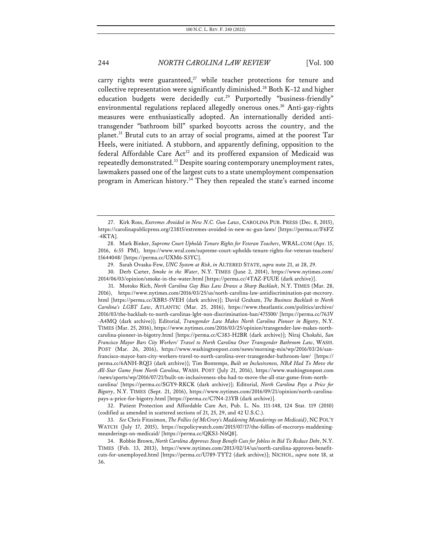carry rights were guaranteed,<sup>27</sup> while teacher protections for tenure and collective representation were significantly diminished.<sup>28</sup> Both K–12 and higher education budgets were decidedly  $cut.^{29}$  Purportedly "business-friendly" environmental regulations replaced allegedly onerous ones.<sup>30</sup> Anti-gay-rights measures were enthusiastically adopted. An internationally derided antitransgender "bathroom bill" sparked boycotts across the country, and the planet.<sup>31</sup> Brutal cuts to an array of social programs, aimed at the poorest Tar Heels, were initiated. A stubborn, and apparently defining, opposition to the federal Affordable Care Act<sup>32</sup> and its proffered expansion of Medicaid was repeatedly demonstrated.<sup>33</sup> Despite soaring contemporary unemployment rates, lawmakers passed one of the largest cuts to a state unemployment compensation program in American history.<sup>34</sup> They then repealed the state's earned income

31. Motoko Rich, *North Carolina Gay Bias Law Draws a Sharp Backlash*, N.Y. TIMES (Mar. 28, 2016), https://www.nytimes.com/2016/03/25/us/north-carolina-law-antidiscrimination-pat-mccrory. html [https://perma.cc/XBR5-5VEH (dark archive)]; David Graham, *The Business Backlash to North Carolina's LGBT Law*, ATLANTIC (Mar. 25, 2016), https://www.theatlantic.com/politics/archive/ 2016/03/the-backlash-to-north-carolinas-lgbt-non-discrimination-ban/475500/ [https://perma.cc/763V -A4MQ (dark archive)]; Editorial, *Transgender Law Makes North Carolina Pioneer in Bigotry*, N.Y. TIMES (Mar. 25, 2016), https://www.nytimes.com/2016/03/25/opinion/transgender-law-makes-northcarolina-pioneer-in-bigotry.html [https://perma.cc/C383-H2BR (dark archive)]; Niraj Chokshi, *San Francisco Mayor Bars City Workers' Travel to North Carolina Over Transgender Bathroom Law*, WASH. POST (Mar. 26, 2016), https://www.washingtonpost.com/news/morning-mix/wp/2016/03/26/sanfrancisco-mayor-bars-city-workers-travel-to-north-carolina-over-transgender-bathroom-law/ [https:// perma.cc/6ANH-RQJ3 (dark archive)]; Tim Bontemps, *Built on Inclusiveness, NBA Had To Move the All-Star Game from North Carolina*, WASH. POST (July 21, 2016), https://www.washingtonpost.com /news/sports/wp/2016/07/21/built-on-inclusiveness-nba-had-to-move-the-all-star-game-from-northcarolina/ [https://perma.cc/SGY9-RKCK (dark archive)]; Editorial, *North Carolina Pays a Price for Bigotry*, N.Y. TIMES (Sept. 21, 2016), https://www.nytimes.com/2016/09/21/opinion/north-carolinapays-a-price-for-bigotry.html [https://perma.cc/C7N4-23YB (dark archive)].

32. Patient Protection and Affordable Care Act, Pub. L. No. 111-148, 124 Stat. 119 (2010) (codified as amended in scattered sections of 21, 25, 29, and 42 U.S.C.).

33. *See* Chris Fitzsimon, *The Follies (of McCrory's Maddening Meanderings on Medicaid)*, NC POL'Y WATCH (July 17, 2015), https://ncpolicywatch.com/2015/07/17/the-follies-of-mccrorys-maddeningmeanderings-on-medicaid/ [https://perma.cc/QKS3-N6Q8].

34. Robbie Brown, *North Carolina Approves Steep Benefit Cuts for Jobless in Bid To Reduce Debt*, N.Y. TIMES (Feb. 13, 2013), https://www.nytimes.com/2013/02/14/us/north-carolina-approves-benefitcuts-for-unemployed.html [https://perma.cc/U789-TYT2 (dark archive)]; NICHOL, *supra* note 18, at 36.

<sup>27.</sup> Kirk Ross, *Extremes Avoided in New N.C. Gun Laws*, CAROLINA PUB. PRESS (Dec. 8, 2015), https://carolinapublicpress.org/23815/extremes-avoided-in-new-nc-gun-laws/ [https://perma.cc/F6FZ -4KTA].

<sup>28.</sup> Mark Binker, *Supreme Court Upholds Tenure Rights for Veteran Teachers*, WRAL.COM (Apr. 15, 2016, 6:55 PM), https://www.wral.com/supreme-court-upholds-tenure-rights-for-veteran-teachers/ 15644048/ [https://perma.cc/UXM6-S3YC].

<sup>29.</sup> Sarah Ovaska-Few, *UNC System at Risk*, *in* ALTERED STATE, *supra* note 21, at 28, 29.

<sup>30.</sup> Derb Carter, *Smoke in the Water*, N.Y. TIMES (June 2, 2014), https://www.nytimes.com/ 2014/06/03/opinion/smoke-in-the-water.html [https://perma.cc/4TAZ-FUUE (dark archive)].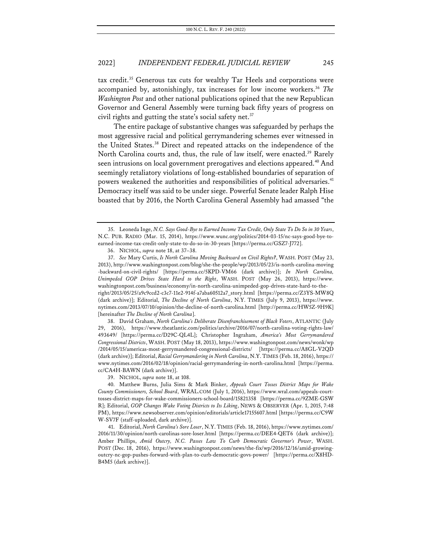tax credit.<sup>35</sup> Generous tax cuts for wealthy Tar Heels and corporations were accompanied by, astonishingly, tax increases for low income workers.<sup>36</sup> The *Washington Post* and other national publications opined that the new Republican Governor and General Assembly were turning back fifty years of progress on civil rights and gutting the state's social safety net. $37$ 

The entire package of substantive changes was safeguarded by perhaps the most aggressive racial and political gerrymandering schemes ever witnessed in the United States.38 Direct and repeated attacks on the independence of the North Carolina courts and, thus, the rule of law itself, were enacted.<sup>39</sup> Rarely seen intrusions on local government prerogatives and elections appeared.<sup>40</sup> And seemingly retaliatory violations of long-established boundaries of separation of powers weakened the authorities and responsibilities of political adversaries.<sup>41</sup> Democracy itself was said to be under siege. Powerful Senate leader Ralph Hise boasted that by 2016, the North Carolina General Assembly had amassed "the

38. David Graham, *North Carolina's Deliberate Disenfranchisement of Black Voters*, ATLANTIC (July 29, 2016), https://www.theatlantic.com/politics/archive/2016/07/north-carolina-voting-rights-law/ 493649/ [https://perma.cc/D29C-QL4L]; Christopher Ingraham, *America's Most Gerrymandered Congressional Districts*, WASH. POST (May 18, 2013), https://www.washingtonpost.com/news/wonk/wp /2014/05/15/americas-most-gerrymandered-congressional-districts/ [https://perma.cc/A8GL-V2QD (dark archive)]; Editorial, *Racial Gerrymandering in North Carolina*, N.Y. TIMES (Feb. 18, 2016), https:// www.nytimes.com/2016/02/18/opinion/racial-gerrymandering-in-north-carolina.html [https://perma. cc/CA4H-BAWN (dark archive)].

<sup>35.</sup> Leoneda Inge, *N.C. Says Good-Bye to Earned Income Tax Credit, Only State To Do So in 30 Years*, N.C. PUB. RADIO (Mar. 15, 2014), https://www.wunc.org/politics/2014-03-15/nc-says-good-bye-toearned-income-tax-credit-only-state-to-do-so-in-30-years [https://perma.cc/GSZ7-J772].

<sup>36.</sup> NICHOL, *supra* note 18, at 37–38.

<sup>37.</sup> *See* Mary Curtis, *Is North Carolina Moving Backward on Civil Rights?*, WASH. POST (May 23, 2013), http://www.washingtonpost.com/blog/she-the-people/wp/2013/05/23/is-north-carolina-moving -backward-on-civil-rights/ [https://perma.cc/5KPD-VM66 (dark archive)]; *In North Carolina, Unimpeded GOP Drives State Hard to the Right*, WASH. POST (May 26, 2013), https://www. washingtonpost.com/business/economy/in-north-carolina-unimpeded-gop-drives-state-hard-to-theright/2013/05/25/a9c9ccd2-c3c7-11e2-914f-a7aba60512a7\_story.html [https://perma.cc/Z3YS-MW8Q (dark archive)]; Editorial, *The Decline of North Carolina*, N.Y. TIMES (July 9, 2013), https://www. nytimes.com/2013/07/10/opinion/the-decline-of-north-carolina.html [http://perma.cc/HW5Z-9H9K] [hereinafter *The Decline of North Carolina*].

<sup>39.</sup> NICHOL, *supra* note 18, at 108.

<sup>40.</sup> Matthew Burns, Julia Sims & Mark Binker, *Appeals Court Tosses District Maps for Wake County Commissioners, School Board*, WRAL.COM (July 1, 2016), https://www.wral.com/appeals-courttosses-district-maps-for-wake-commissioners-school-board/15821358 [https://perma.cc/9ZME-GSW R]; Editorial, *GOP Changes Wake Voting Districts to Its Liking*, NEWS & OBSERVER (Apr. 1, 2015, 7:48 PM), https://www.newsobserver.com/opinion/editorials/article17155607.html [https://perma.cc/C9W W-SV7F (staff-uploaded, dark archive)].

<sup>41.</sup> Editorial, *North Carolina's Sore Loser*, N.Y. TIMES (Feb. 18, 2016), https://www.nytimes.com/ 2016/11/30/opinion/north-carolinas-sore-loser.html [https://perma.cc/DEE4-QET6 (dark archive)]; Amber Phillips, *Amid Outcry, N.C. Passes Law To Curb Democratic Governor's Power*, WASH. POST (Dec. 18, 2016), https://www.washingtonpost.com/news/the-fix/wp/2016/12/16/amid-growingoutcry-nc-gop-pushes-forward-with-plan-to-curb-democratic-govs-power/ [https://perma.cc/X8HD-B4M5 (dark archive)].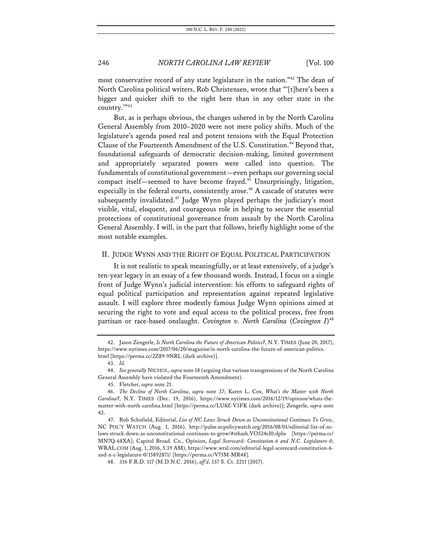most conservative record of any state legislature in the nation."<sup>42</sup> The dean of North Carolina political writers, Rob Christensen, wrote that "'[t]here's been a bigger and quicker shift to the right here than in any other state in the country.'"43

But, as is perhaps obvious, the changes ushered in by the North Carolina General Assembly from 2010–2020 were not mere policy shifts. Much of the legislature's agenda posed real and potent tensions with the Equal Protection Clause of the Fourteenth Amendment of the U.S. Constitution.<sup>44</sup> Beyond that, foundational safeguards of democratic decision-making, limited government and appropriately separated powers were called into question. The fundamentals of constitutional government—even perhaps our governing social compact itself—seemed to have become frayed.45 Unsurprisingly, litigation, especially in the federal courts, consistently arose.<sup>46</sup> A cascade of statutes were subsequently invalidated.<sup>47</sup> Judge Wynn played perhaps the judiciary's most visible, vital, eloquent, and courageous role in helping to secure the essential protections of constitutional governance from assault by the North Carolina General Assembly. I will, in the part that follows, briefly highlight some of the most notable examples.

### II. JUDGE WYNN AND THE RIGHT OF EQUAL POLITICAL PARTICIPATION

It is not realistic to speak meaningfully, or at least extensively, of a judge's ten-year legacy in an essay of a few thousand words. Instead, I focus on a single front of Judge Wynn's judicial intervention: his efforts to safeguard rights of equal political participation and representation against repeated legislative assault. I will explore three modestly famous Judge Wynn opinions aimed at securing the right to vote and equal access to the political process, free from partisan or race-based onslaught. *Covington v. North Carolina* (*Covington I*) 48

<sup>42.</sup> Jason Zengerle, *Is North Carolina the Future of American Politics?*, N.Y. TIMES (June 20, 2017), https://www.nytimes.com/2017/06/20/magazine/is-north-carolina-the-future-of-american-politics. html [https://perma.cc/2Z89-9NRL (dark archive)].

<sup>43.</sup> *Id.*

<sup>44.</sup> *See generally* NICHOL, *supra* note 18 (arguing that various transgressions of the North Carolina General Assembly have violated the Fourteenth Amendment).

<sup>45.</sup> Fletcher, *supra* note 21.

<sup>46.</sup> *The Decline of North Carolina*, *supra* note 37; Karen L. Cox, *What's the Matter with North Carolina?*, N.Y. TIMES (Dec. 19, 2016), https://www.nytimes.com/2016/12/19/opinion/whats-thematter-with-north-carolina.html [https://perma.cc/LU8Z-V3FK (dark archive)]; Zengerle, *supra* note 42.

<sup>47.</sup> Rob Schofield, Editorial, *List of NC Laws Struck Down as Unconstitutional Continues To Grow*, NC POL'Y WATCH (Aug. 1, 2016), http://pulse.ncpolicywatch.org/2016/08/01/editorial-list-of-nclaws-struck-down-as-unconstitutional-continues-to-grow/#sthash.VO524cI0.dpbs [https://perma.cc/ MN7Q-68XA]; Capitol Broad. Co., Opinion, *Legal Scorecard: Constitution-6 and N.C. Legislature-0*, WRAL.COM (Aug. 1, 2016, 5:39 AM), https://www.wral.com/editorial-legal-scorecard-constitution-6 and-n-c-legislature-0/15892871/ [https://perma.cc/V75M-MR48].

<sup>48.</sup> 316 F.R.D. 117 (M.D.N.C. 2016), *aff'd*, 137 S. Ct. 2211 (2017).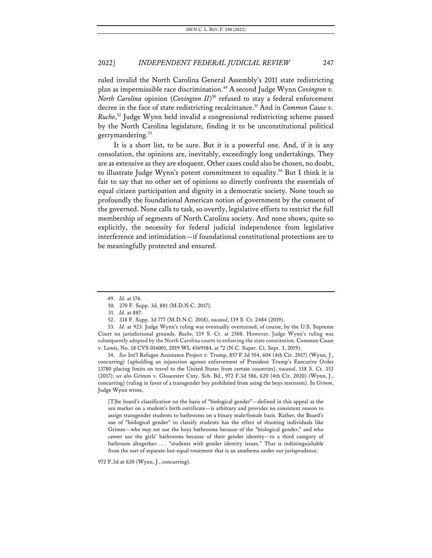ruled invalid the North Carolina General Assembly's 2011 state redistricting plan as impermissible race discrimination.49 A second Judge Wynn *Covington v. North Carolina* opinion (*Covington II*) <sup>50</sup> refused to stay a federal enforcement decree in the face of state redistricting recalcitrance.<sup>51</sup> And in *Common Cause v. Rucho*, <sup>52</sup> Judge Wynn held invalid a congressional redistricting scheme passed by the North Carolina legislature, finding it to be unconstitutional political gerrymandering.<sup>53</sup>

It is a short list, to be sure. But it is a powerful one. And, if it is any consolation, the opinions are, inevitably, exceedingly long undertakings. They are as extensive as they are eloquent. Other cases could also be chosen, no doubt, to illustrate Judge Wynn's potent commitment to equality.<sup>54</sup> But I think it is fair to say that no other set of opinions so directly confronts the essentials of equal citizen participation and dignity in a democratic society. None touch so profoundly the foundational American notion of government by the consent of the governed. None calls to task, so overtly, legislative efforts to restrict the full membership of segments of North Carolina society. And none shows, quite so explicitly, the necessity for federal judicial independence from legislative interference and intimidation—if foundational constitutional protections are to be meaningfully protected and ensured.

54. *See* Int'l Refugee Assistance Project v. Trump, 857 F.3d 554, 604 (4th Cir. 2017) (Wynn, J., concurring) (upholding an injunction against enforcement of President Trump's Executive Order 13780 placing limits on travel to the United States from certain countries), *vacated*, 138 S. Ct. 353 (2017); *see also* Grimm v. Gloucester Cnty. Sch. Bd., 972 F.3d 586, 620 (4th Cir. 2020) (Wynn, J., concurring) (ruling in favor of a transgender boy prohibited from using the boys restroom). In *Grimm*, Judge Wynn wrote,

[T]he board's classification on the basis of "biological gender"—defined in this appeal as the sex marker on a student's birth certificate—is arbitrary and provides no consistent reason to assign transgender students to bathrooms on a binary male/female basis. Rather, the Board's use of "biological gender" to classify students has the effect of shunting individuals like Grimm—who *may not* use the boys bathrooms because of the "biological gender," and who *cannot* use the girls' bathrooms because of their gender identity—to a third category of bathroom altogether: . . . "students with gender identity issues." That is indistinguishable from the sort of separate-but-equal treatment that is an anathema under our jurisprudence.

972 F.3d at 620 (Wynn, J., concurring).

<sup>49.</sup> *Id.* at 176.

<sup>50.</sup> 270 F. Supp. 3d. 881 (M.D.N.C. 2017).

<sup>51.</sup> *Id.* at 887.

<sup>52.</sup> 318 F. Supp. 3d 777 (M.D.N.C. 2018), *vacated*, 139 S. Ct. 2484 (2019).

<sup>53.</sup> *Id.* at 923. Judge Wynn's ruling was eventually overturned, of course, by the U.S. Supreme Court on jurisdictional grounds. *Rucho*, 139 S. Ct. at 2508. However, Judge Wynn's ruling was subsequently adopted by the North Carolina courts in enforcing the state constitution. Common Cause v. Lewis, No. 18 CVS 014001, 2019 WL 4569584, at \*2 (N.C. Super. Ct. Sept. 3, 2019).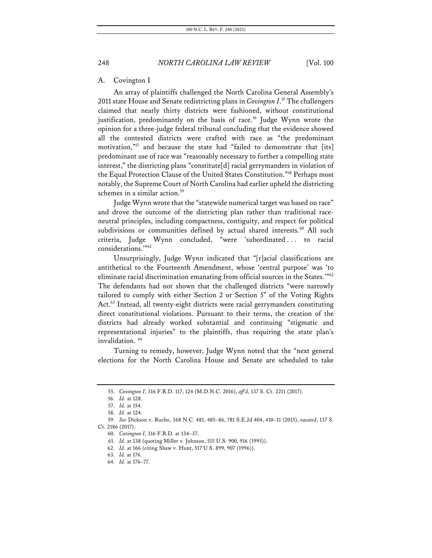### A. Covington I

An array of plaintiffs challenged the North Carolina General Assembly's 2011 state House and Senate redistricting plans in *Covington I*. <sup>55</sup> The challengers claimed that nearly thirty districts were fashioned, without constitutional justification, predominantly on the basis of race.<sup>56</sup> Judge Wynn wrote the opinion for a three-judge federal tribunal concluding that the evidence showed all the contested districts were crafted with race as "the predominant motivation,"<sup>57</sup> and because the state had "failed to demonstrate that [its] predominant use of race was "reasonably necessary to further a compelling state interest," the districting plans "constitute[d] racial gerrymanders in violation of the Equal Protection Clause of the United States Constitution."58 Perhaps most notably, the Supreme Court of North Carolina had earlier upheld the districting schemes in a similar action.<sup>59</sup>

Judge Wynn wrote that the "statewide numerical target was based on race" and drove the outcome of the districting plan rather than traditional raceneutral principles, including compactness, contiguity, and respect for political subdivisions or communities defined by actual shared interests.<sup>60</sup> All such criteria, Judge Wynn concluded, "were 'subordinated . . . to racial considerations.'"61

Unsurprisingly, Judge Wynn indicated that "[r]acial classifications are antithetical to the Fourteenth Amendment, whose 'central purpose' was 'to eliminate racial discrimination emanating from official sources in the States.'"62 The defendants had not shown that the challenged districts "were narrowly tailored to comply with either Section 2 or Section 5" of the Voting Rights Act.<sup>63</sup> Instead, all twenty-eight districts were racial gerrymanders constituting direct constitutional violations. Pursuant to their terms, the creation of the districts had already worked substantial and continuing "stigmatic and representational injuries" to the plaintiffs, thus requiring the state plan's invalidation.<sup>64</sup>

Turning to remedy, however, Judge Wynn noted that the "next general elections for the North Carolina House and Senate are scheduled to take

<sup>55.</sup> *Covington I*, 316 F.R.D. 117, 124 (M.D.N.C. 2016), *aff'd*, 137 S. Ct. 2211 (2017).

<sup>56.</sup> *Id.* at 128.

<sup>57.</sup> *Id.* at 154.

<sup>58.</sup> *Id.* at 124.

<sup>59.</sup> *See* Dickson v. Rucho, 368 N.C. 481, 485–86, 781 S.E.2d 404, 410–11 (2015), *vacated*, 137 S. Ct. 2186 (2017).

<sup>60.</sup> *Covington I*, 316 F.R.D. at 134–37.

<sup>61.</sup> *Id.* at 138 (quoting Miller v. Johnson, 515 U.S. 900, 916 (1995)).

<sup>62.</sup> *Id.* at 166 (citing Shaw v. Hunt, 517 U S. 899, 907 (1996)).

<sup>63.</sup> *Id.* at 176.

<sup>64.</sup> *Id.* at 176–77.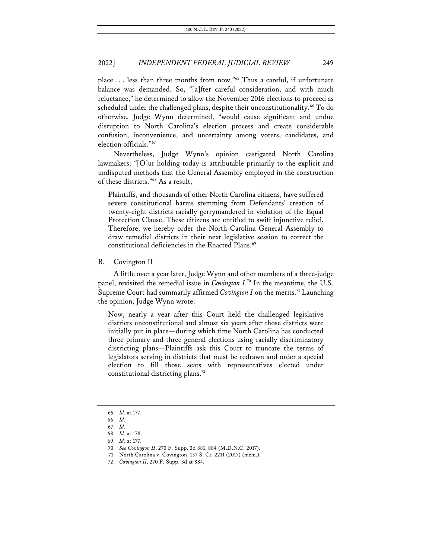place . . . less than three months from now."65 Thus a careful, if unfortunate balance was demanded. So, "[a]fter careful consideration, and with much reluctance," he determined to allow the November 2016 elections to proceed as scheduled under the challenged plans, despite their unconstitutionality.<sup>66</sup> To do otherwise, Judge Wynn determined, "would cause significant and undue disruption to North Carolina's election process and create considerable confusion, inconvenience, and uncertainty among voters, candidates, and election officials."67

Nevertheless, Judge Wynn's opinion castigated North Carolina lawmakers: "[O]ur holding today is attributable primarily to the explicit and undisputed methods that the General Assembly employed in the construction of these districts."68 As a result,

Plaintiffs, and thousands of other North Carolina citizens, have suffered severe constitutional harms stemming from Defendants' creation of twenty-eight districts racially gerrymandered in violation of the Equal Protection Clause. These citizens are entitled to swift injunctive relief. Therefore, we hereby order the North Carolina General Assembly to draw remedial districts in their next legislative session to correct the constitutional deficiencies in the Enacted Plans.<sup>69</sup>

B. Covington II

A little over a year later, Judge Wynn and other members of a three-judge panel, revisited the remedial issue in *Covington I*. <sup>70</sup> In the meantime, the U.S. Supreme Court had summarily affirmed *Covington I* on the merits.<sup>71</sup> Launching the opinion, Judge Wynn wrote:

Now, nearly a year after this Court held the challenged legislative districts unconstitutional and almost six years after those districts were initially put in place—during which time North Carolina has conducted three primary and three general elections using racially discriminatory districting plans—Plaintiffs ask this Court to truncate the terms of legislators serving in districts that must be redrawn and order a special election to fill those seats with representatives elected under constitutional districting plans.<sup>72</sup>

<sup>65.</sup> *Id.* at 177.

<sup>66.</sup> *Id.*

<sup>67.</sup> *Id.*

<sup>68.</sup> *Id.* at 178.

<sup>69.</sup> *Id.* at 177.

<sup>70.</sup> *See Covington II*, 270 F. Supp. 3d 881, 884 (M.D.N.C. 2017).

<sup>71.</sup> North Carolina v. Covington, 137 S. Ct. 2211 (2017) (mem.).

<sup>72.</sup> *Covington II*, 270 F. Supp. 3d at 884.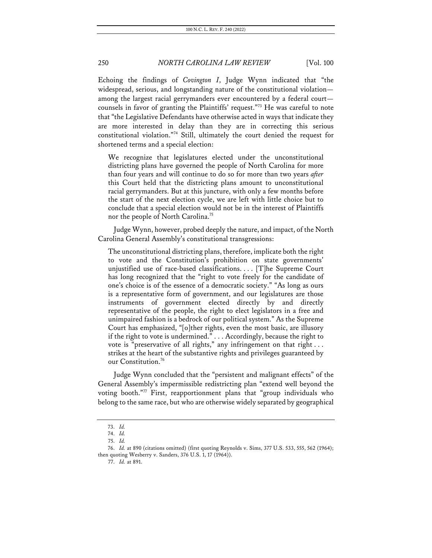Echoing the findings of *Covington I*, Judge Wynn indicated that "the widespread, serious, and longstanding nature of the constitutional violation among the largest racial gerrymanders ever encountered by a federal court counsels in favor of granting the Plaintiffs' request."<sup>73</sup> He was careful to note that "the Legislative Defendants have otherwise acted in ways that indicate they are more interested in delay than they are in correcting this serious constitutional violation."74 Still, ultimately the court denied the request for shortened terms and a special election:

We recognize that legislatures elected under the unconstitutional districting plans have governed the people of North Carolina for more than four years and will continue to do so for more than two years *after* this Court held that the districting plans amount to unconstitutional racial gerrymanders. But at this juncture, with only a few months before the start of the next election cycle, we are left with little choice but to conclude that a special election would not be in the interest of Plaintiffs nor the people of North Carolina.<sup>75</sup>

Judge Wynn, however, probed deeply the nature, and impact, of the North Carolina General Assembly's constitutional transgressions:

The unconstitutional districting plans, therefore, implicate both the right to vote and the Constitution's prohibition on state governments' unjustified use of race-based classifications. . . . [T]he Supreme Court has long recognized that the "right to vote freely for the candidate of one's choice is of the essence of a democratic society." "As long as ours is a representative form of government, and our legislatures are those instruments of government elected directly by and directly representative of the people, the right to elect legislators in a free and unimpaired fashion is a bedrock of our political system." As the Supreme Court has emphasized, "[o]ther rights, even the most basic, are illusory if the right to vote is undermined." . . . Accordingly, because the right to vote is "preservative of all rights," any infringement on that right ... strikes at the heart of the substantive rights and privileges guaranteed by our Constitution.<sup>76</sup>

Judge Wynn concluded that the "persistent and malignant effects" of the General Assembly's impermissible redistricting plan "extend well beyond the voting booth."77 First, reapportionment plans that "group individuals who belong to the same race, but who are otherwise widely separated by geographical

<sup>73.</sup> *Id.*

<sup>74.</sup> *Id.*

<sup>75.</sup> *Id.*

<sup>76.</sup> *Id.* at 890 (citations omitted) (first quoting Reynolds v. Sims, 377 U.S. 533, 555, 562 (1964); then quoting Wesberry v. Sanders, 376 U.S. 1, 17 (1964)).

<sup>77.</sup> *Id.* at 891.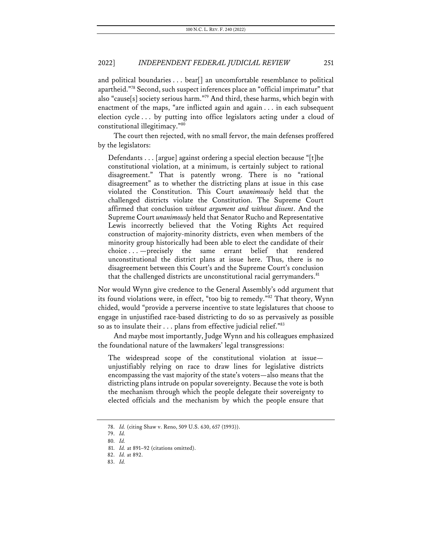and political boundaries . . . bear[] an uncomfortable resemblance to political apartheid."78 Second, such suspect inferences place an "official imprimatur" that also "cause[s] society serious harm."<sup>79</sup> And third, these harms, which begin with enactment of the maps, "are inflicted again and again . . . in each subsequent election cycle . . . by putting into office legislators acting under a cloud of constitutional illegitimacy."80

The court then rejected, with no small fervor, the main defenses proffered by the legislators:

Defendants . . . [argue] against ordering a special election because "[t]he constitutional violation, at a minimum, is certainly subject to rational disagreement." That is patently wrong. There is no "rational disagreement" as to whether the districting plans at issue in this case violated the Constitution. This Court *unanimously* held that the challenged districts violate the Constitution. The Supreme Court affirmed that conclusion *without argument and without dissent*. And the Supreme Court *unanimously* held that Senator Rucho and Representative Lewis incorrectly believed that the Voting Rights Act required construction of majority-minority districts, even when members of the minority group historically had been able to elect the candidate of their choice . . . —precisely the same errant belief that rendered unconstitutional the district plans at issue here. Thus, there is no disagreement between this Court's and the Supreme Court's conclusion that the challenged districts are unconstitutional racial gerrymanders. $81$ 

Nor would Wynn give credence to the General Assembly's odd argument that its found violations were, in effect, "too big to remedy."82 That theory, Wynn chided, would "provide a perverse incentive to state legislatures that choose to engage in unjustified race-based districting to do so as pervasively as possible so as to insulate their . . . plans from effective judicial relief."83

And maybe most importantly, Judge Wynn and his colleagues emphasized the foundational nature of the lawmakers' legal transgressions:

The widespread scope of the constitutional violation at issue unjustifiably relying on race to draw lines for legislative districts encompassing the vast majority of the state's voters—also means that the districting plans intrude on popular sovereignty. Because the vote is both the mechanism through which the people delegate their sovereignty to elected officials and the mechanism by which the people ensure that

<sup>78.</sup> *Id.* (citing Shaw v. Reno, 509 U.S. 630, 657 (1993)).

<sup>79.</sup> *Id.*

<sup>80.</sup> *Id.*

<sup>81.</sup> *Id.* at 891–92 (citations omitted).

<sup>82.</sup> *Id.* at 892.

<sup>83.</sup> *Id.*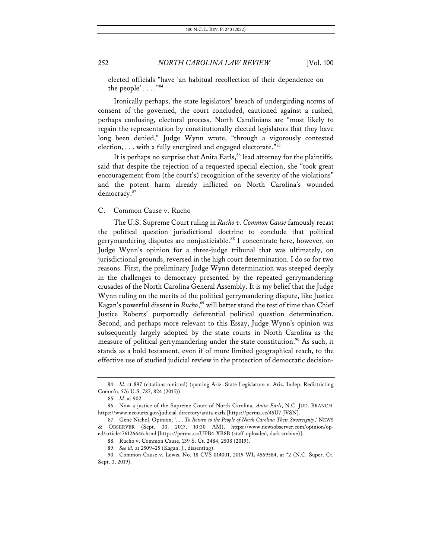elected officials "have 'an habitual recollection of their dependence on the people' . . . ."84

Ironically perhaps, the state legislators' breach of undergirding norms of consent of the governed, the court concluded, cautioned against a rushed, perhaps confusing, electoral process. North Carolinians are "most likely to regain the representation by constitutionally elected legislators that they have long been denied," Judge Wynn wrote, "through a vigorously contested election, . . . with a fully energized and engaged electorate."85

It is perhaps no surprise that Anita Earls,<sup>86</sup> lead attorney for the plaintiffs, said that despite the rejection of a requested special election, she "took great encouragement from (the court's) recognition of the severity of the violations" and the potent harm already inflicted on North Carolina's wounded democracy.<sup>87</sup>

### C. Common Cause v. Rucho

The U.S. Supreme Court ruling in *Rucho v. Common Cause* famously recast the political question jurisdictional doctrine to conclude that political gerrymandering disputes are nonjusticiable.<sup>88</sup> I concentrate here, however, on Judge Wynn's opinion for a three-judge tribunal that was ultimately, on jurisdictional grounds, reversed in the high court determination. I do so for two reasons. First, the preliminary Judge Wynn determination was steeped deeply in the challenges to democracy presented by the repeated gerrymandering crusades of the North Carolina General Assembly. It is my belief that the Judge Wynn ruling on the merits of the political gerrymandering dispute, like Justice Kagan's powerful dissent in *Rucho*, <sup>89</sup> will better stand the test of time than Chief Justice Roberts' purportedly deferential political question determination. Second, and perhaps more relevant to this Essay, Judge Wynn's opinion was subsequently largely adopted by the state courts in North Carolina as the measure of political gerrymandering under the state constitution.<sup>90</sup> As such, it stands as a bold testament, even if of more limited geographical reach, to the effective use of studied judicial review in the protection of democratic decision-

<sup>84.</sup> *Id.* at 897 (citations omitted) (quoting Ariz. State Legislature v. Ariz. Indep. Redistricting Comm'n, 576 U.S. 787, 824 (2015)).

<sup>85.</sup> *Id.* at 902.

<sup>86.</sup> Now a justice of the Supreme Court of North Carolina. *Anita Earls*, N.C. JUD. BRANCH, https://www.nccourts.gov/judicial-directory/anita-earls [https://perma.cc/45U7-JVSN].

<sup>87.</sup> Gene Nichol, Opinion, '. . . *To Return to the People of North Carolina Their Sovereignty*,*'* NEWS & OBSERVER (Sept. 30, 2017, 10:30 AM), https://www.newsobserver.com/opinion/oped/article176126646.html [https://perma.cc/UPB4-XB8B (staff-uploaded, dark archive)].

<sup>88.</sup> Rucho v. Common Cause, 139 S. Ct. 2484, 2508 (2019).

<sup>89.</sup> *See id.* at 2509–25 (Kagan, J., dissenting).

<sup>90.</sup> Common Cause v. Lewis, No. 18 CVS 014001, 2019 WL 4569584, at \*2 (N.C. Super. Ct. Sept. 3, 2019).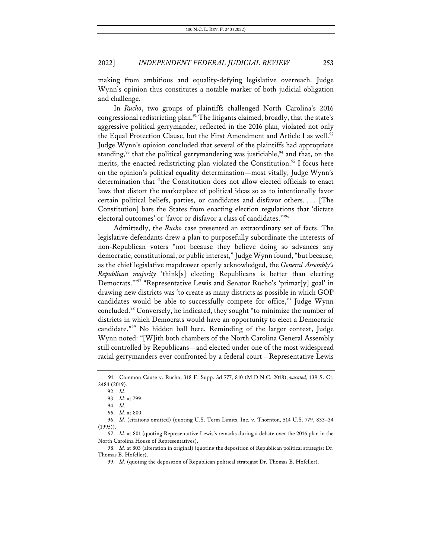making from ambitious and equality-defying legislative overreach. Judge Wynn's opinion thus constitutes a notable marker of both judicial obligation and challenge.

In *Rucho*, two groups of plaintiffs challenged North Carolina's 2016 congressional redistricting plan.<sup>91</sup> The litigants claimed, broadly, that the state's aggressive political gerrymander, reflected in the 2016 plan, violated not only the Equal Protection Clause, but the First Amendment and Article I as well.<sup>92</sup> Judge Wynn's opinion concluded that several of the plaintiffs had appropriate standing,<sup>93</sup> that the political gerrymandering was justiciable,<sup>94</sup> and that, on the merits, the enacted redistricting plan violated the Constitution.<sup>95</sup> I focus here on the opinion's political equality determination—most vitally, Judge Wynn's determination that "the Constitution does not allow elected officials to enact laws that distort the marketplace of political ideas so as to intentionally favor certain political beliefs, parties, or candidates and disfavor others. . . . [The Constitution] bars the States from enacting election regulations that 'dictate electoral outcomes' or 'favor or disfavor a class of candidates.'"96

Admittedly, the *Rucho* case presented an extraordinary set of facts. The legislative defendants drew a plan to purposefully subordinate the interests of non-Republican voters "not because they believe doing so advances any democratic, constitutional, or public interest,"Judge Wynn found, "but because, as the chief legislative mapdrawer openly acknowledged, the *General Assembly's Republican majority* 'think[s] electing Republicans is better than electing Democrats.'"97 "Representative Lewis and Senator Rucho's 'primar[y] goal' in drawing new districts was 'to create as many districts as possible in which GOP candidates would be able to successfully compete for office,'" Judge Wynn concluded.<sup>98</sup> Conversely, he indicated, they sought "to minimize the number of districts in which Democrats would have an opportunity to elect a Democratic candidate."99 No hidden ball here. Reminding of the larger context, Judge Wynn noted: "[W]ith both chambers of the North Carolina General Assembly still controlled by Republicans—and elected under one of the most widespread racial gerrymanders ever confronted by a federal court—Representative Lewis

<sup>91.</sup> Common Cause v. Rucho, 318 F. Supp. 3d 777, 810 (M.D.N.C. 2018), *vacated*, 139 S. Ct. 2484 (2019).

<sup>92.</sup> *Id.*

<sup>93.</sup> *Id.* at 799.

<sup>94.</sup> *Id.* 95. *Id.* at 800.

<sup>96.</sup> *Id.* (citations omitted) (quoting U.S. Term Limits, Inc. v. Thornton, 514 U.S. 779, 833–34 (1995)).

<sup>97.</sup> *Id.* at 801 (quoting Representative Lewis's remarks during a debate over the 2016 plan in the North Carolina House of Representatives).

<sup>98.</sup> *Id.* at 803 (alteration in original) (quoting the deposition of Republican political strategist Dr. Thomas B. Hofeller).

<sup>99.</sup> *Id.* (quoting the deposition of Republican political strategist Dr. Thomas B. Hofeller).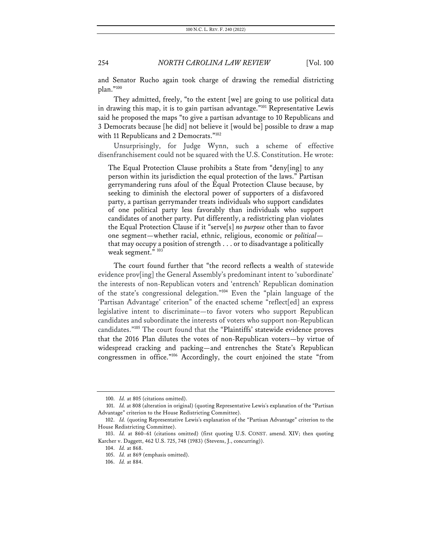and Senator Rucho again took charge of drawing the remedial districting plan."100

They admitted, freely, "to the extent [we] are going to use political data in drawing this map, it is to gain partisan advantage."<sup>101</sup> Representative Lewis said he proposed the maps "to give a partisan advantage to 10 Republicans and 3 Democrats because [he did] not believe it [would be] possible to draw a map with 11 Republicans and 2 Democrats."<sup>102</sup>

Unsurprisingly, for Judge Wynn, such a scheme of effective disenfranchisement could not be squared with the U.S. Constitution. He wrote:

The Equal Protection Clause prohibits a State from "deny[ing] to any person within its jurisdiction the equal protection of the laws." Partisan gerrymandering runs afoul of the Equal Protection Clause because, by seeking to diminish the electoral power of supporters of a disfavored party, a partisan gerrymander treats individuals who support candidates of one political party less favorably than individuals who support candidates of another party. Put differently, a redistricting plan violates the Equal Protection Clause if it "serve[s] *no purpose* other than to favor one segment—whether racial, ethnic, religious, economic or *political* that may occupy a position of strength . . . or to disadvantage a politically weak segment." 103

The court found further that "the record reflects a wealth of statewide evidence prov[ing] the General Assembly's predominant intent to 'subordinate' the interests of non-Republican voters and 'entrench' Republican domination of the state's congressional delegation."104 Even the "plain language of the 'Partisan Advantage' criterion" of the enacted scheme "reflect[ed] an express legislative intent to discriminate—to favor voters who support Republican candidates and subordinate the interests of voters who support non-Republican candidates."105 The court found that the "Plaintiffs' statewide evidence proves that the 2016 Plan dilutes the votes of non-Republican voters—by virtue of widespread cracking and packing—and entrenches the State's Republican congressmen in office."106 Accordingly, the court enjoined the state "from

<sup>100.</sup> *Id.* at 805 (citations omitted).

<sup>101.</sup> *Id.* at 808 (alteration in original) (quoting Representative Lewis's explanation of the "Partisan Advantage" criterion to the House Redistricting Committee).

<sup>102.</sup> *Id.* (quoting Representative Lewis's explanation of the "Partisan Advantage" criterion to the House Redistricting Committee).

<sup>103.</sup> *Id.* at 860–61 (citations omitted) (first quoting U.S. CONST. amend. XIV; then quoting Karcher v. Daggett, 462 U.S. 725, 748 (1983) (Stevens, J., concurring)).

<sup>104.</sup> *Id.* at 868.

<sup>105.</sup> *Id.* at 869 (emphasis omitted).

<sup>106.</sup> *Id.* at 884.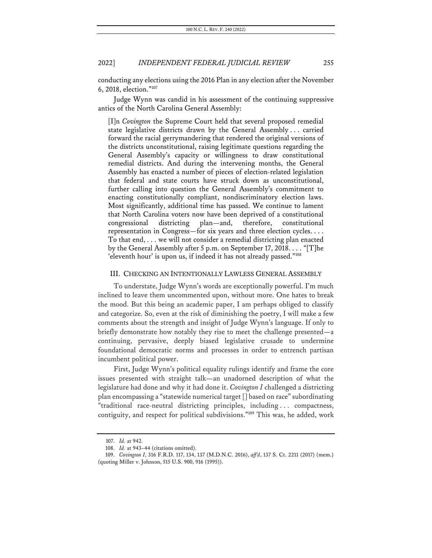conducting any elections using the 2016 Plan in any election after the November 6, 2018, election."107

Judge Wynn was candid in his assessment of the continuing suppressive antics of the North Carolina General Assembly:

[I]n *Covington* the Supreme Court held that several proposed remedial state legislative districts drawn by the General Assembly . . . carried forward the racial gerrymandering that rendered the original versions of the districts unconstitutional, raising legitimate questions regarding the General Assembly's capacity or willingness to draw constitutional remedial districts. And during the intervening months, the General Assembly has enacted a number of pieces of election-related legislation that federal and state courts have struck down as unconstitutional, further calling into question the General Assembly's commitment to enacting constitutionally compliant, nondiscriminatory election laws. Most significantly, additional time has passed. We continue to lament that North Carolina voters now have been deprived of a constitutional congressional districting plan—and, therefore, constitutional representation in Congress—for six years and three election cycles. . . . To that end, . . . we will not consider a remedial districting plan enacted by the General Assembly after 5 p.m. on September 17, 2018. . . . "[T]he 'eleventh hour' is upon us, if indeed it has not already passed."<sup>108</sup>

### III. CHECKING AN INTENTIONALLY LAWLESS GENERAL ASSEMBLY

To understate, Judge Wynn's words are exceptionally powerful. I'm much inclined to leave them uncommented upon, without more. One hates to break the mood. But this being an academic paper, I am perhaps obliged to classify and categorize. So, even at the risk of diminishing the poetry, I will make a few comments about the strength and insight of Judge Wynn's language. If only to briefly demonstrate how notably they rise to meet the challenge presented—a continuing, pervasive, deeply biased legislative crusade to undermine foundational democratic norms and processes in order to entrench partisan incumbent political power.

First, Judge Wynn's political equality rulings identify and frame the core issues presented with straight talk—an unadorned description of what the legislature had done and why it had done it. *Covington I* challenged a districting plan encompassing a "statewide numerical target [] based on race" subordinating "traditional race-neutral districting principles, including . . . compactness, contiguity, and respect for political subdivisions."<sup>109</sup> This was, he added, work

<sup>107.</sup> *Id.* at 942.

<sup>108.</sup> *Id.* at 943–44 (citations omitted).

<sup>109.</sup> *Covington I*, 316 F.R.D. 117, 134, 137 (M.D.N.C. 2016), *aff'd*, 137 S. Ct. 2211 (2017) (mem.) (quoting Miller v. Johnson, 515 U.S. 900, 916 (1995)).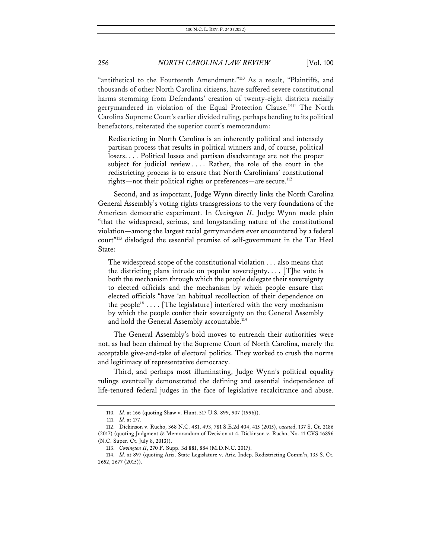"antithetical to the Fourteenth Amendment."<sup>110</sup> As a result, "Plaintiffs, and thousands of other North Carolina citizens, have suffered severe constitutional harms stemming from Defendants' creation of twenty-eight districts racially gerrymandered in violation of the Equal Protection Clause."111 The North Carolina Supreme Court's earlier divided ruling, perhaps bending to its political benefactors, reiterated the superior court's memorandum:

Redistricting in North Carolina is an inherently political and intensely partisan process that results in political winners and, of course, political losers. . . . Political losses and partisan disadvantage are not the proper subject for judicial review .... Rather, the role of the court in the redistricting process is to ensure that North Carolinians' constitutional rights—not their political rights or preferences—are secure.<sup>112</sup>

Second, and as important, Judge Wynn directly links the North Carolina General Assembly's voting rights transgressions to the very foundations of the American democratic experiment. In *Covington II*, Judge Wynn made plain "that the widespread, serious, and longstanding nature of the constitutional violation—among the largest racial gerrymanders ever encountered by a federal court"113 dislodged the essential premise of self-government in the Tar Heel State:

The widespread scope of the constitutional violation . . . also means that the districting plans intrude on popular sovereignty....  $[T]$ he vote is both the mechanism through which the people delegate their sovereignty to elected officials and the mechanism by which people ensure that elected officials "have 'an habitual recollection of their dependence on the people'" . . . . [The legislature] interfered with the very mechanism by which the people confer their sovereignty on the General Assembly and hold the General Assembly accountable.<sup>114</sup>

The General Assembly's bold moves to entrench their authorities were not, as had been claimed by the Supreme Court of North Carolina, merely the acceptable give-and-take of electoral politics. They worked to crush the norms and legitimacy of representative democracy.

Third, and perhaps most illuminating, Judge Wynn's political equality rulings eventually demonstrated the defining and essential independence of life-tenured federal judges in the face of legislative recalcitrance and abuse.

<sup>110.</sup> *Id.* at 166 (quoting Shaw v. Hunt, 517 U.S. 899, 907 (1996)).

<sup>111.</sup> *Id.* at 177.

<sup>112.</sup> Dickinson v. Rucho, 368 N.C. 481, 493, 781 S.E.2d 404, 415 (2015), *vacated*, 137 S. Ct. 2186 (2017) (quoting Judgment & Memorandum of Decision at 4, Dickinson v. Rucho, No. 11 CVS 16896 (N.C. Super. Ct. July 8, 2013)).

<sup>113.</sup> *Covington II*, 270 F. Supp. 3d 881, 884 (M.D.N.C. 2017).

<sup>114.</sup> *Id.* at 897 (quoting Ariz. State Legislature v. Ariz. Indep. Redistricting Comm'n, 135 S. Ct. 2652, 2677 (2015)).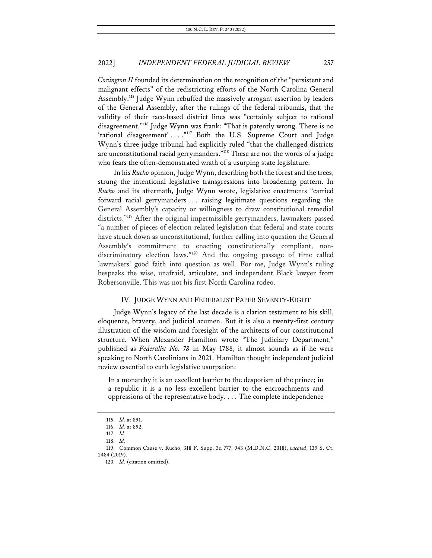*Covington II* founded its determination on the recognition of the "persistent and malignant effects" of the redistricting efforts of the North Carolina General Assembly.<sup>115</sup> Judge Wynn rebuffed the massively arrogant assertion by leaders of the General Assembly, after the rulings of the federal tribunals, that the validity of their race-based district lines was "certainly subject to rational disagreement."116 Judge Wynn was frank: "That is patently wrong. There is no 'rational disagreement' . . . . "117 Both the U.S. Supreme Court and Judge Wynn's three-judge tribunal had explicitly ruled "that the challenged districts are unconstitutional racial gerrymanders."<sup>118</sup> These are not the words of a judge who fears the often-demonstrated wrath of a usurping state legislature.

In his *Rucho* opinion, Judge Wynn, describing both the forest and the trees, strung the intentional legislative transgressions into broadening pattern. In *Rucho* and its aftermath, Judge Wynn wrote, legislative enactments "carried forward racial gerrymanders . . . raising legitimate questions regarding the General Assembly's capacity or willingness to draw constitutional remedial districts."<sup>119</sup> After the original impermissible gerrymanders, lawmakers passed "a number of pieces of election-related legislation that federal and state courts have struck down as unconstitutional, further calling into question the General Assembly's commitment to enacting constitutionally compliant, nondiscriminatory election laws."120 And the ongoing passage of time called lawmakers' good faith into question as well. For me, Judge Wynn's ruling bespeaks the wise, unafraid, articulate, and independent Black lawyer from Robersonville. This was not his first North Carolina rodeo.

### IV. JUDGE WYNN AND FEDERALIST PAPER SEVENTY-EIGHT

Judge Wynn's legacy of the last decade is a clarion testament to his skill, eloquence, bravery, and judicial acumen. But it is also a twenty-first century illustration of the wisdom and foresight of the architects of our constitutional structure. When Alexander Hamilton wrote "The Judiciary Department," published as *Federalist No. 78* in May 1788, it almost sounds as if he were speaking to North Carolinians in 2021. Hamilton thought independent judicial review essential to curb legislative usurpation:

In a monarchy it is an excellent barrier to the despotism of the prince; in a republic it is a no less excellent barrier to the encroachments and oppressions of the representative body. . . . The complete independence

<sup>115.</sup> *Id.* at 891.

<sup>116.</sup> *Id.* at 892.

<sup>117.</sup> *Id.* 118. *Id.*

<sup>119.</sup> Common Cause v. Rucho, 318 F. Supp. 3d 777, 943 (M.D.N.C. 2018), *vacated*, 139 S. Ct. 2484 (2019).

<sup>120.</sup> *Id.* (citation omitted).